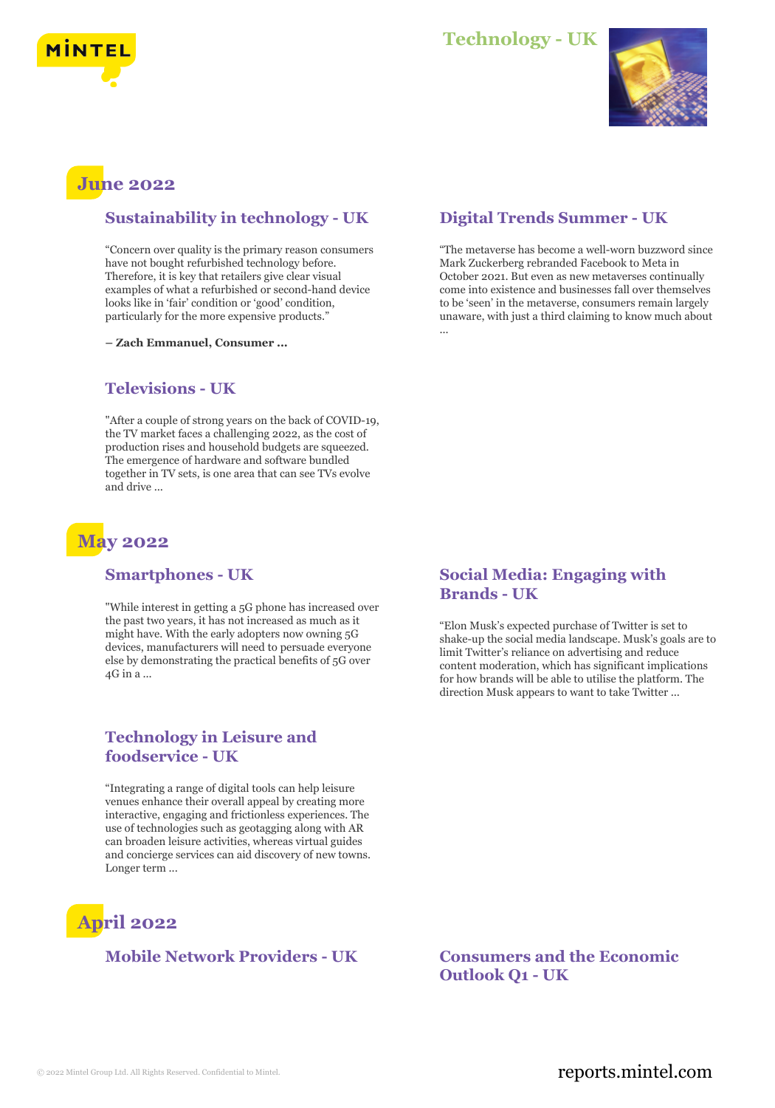



# **June 2022**

#### **Sustainability in technology - UK**

"Concern over quality is the primary reason consumers have not bought refurbished technology before. Therefore, it is key that retailers give clear visual examples of what a refurbished or second-hand device looks like in 'fair' condition or 'good' condition, particularly for the more expensive products."

**– Zach Emmanuel, Consumer ...**

## **Televisions - UK**

"After a couple of strong years on the back of COVID-19, the TV market faces a challenging 2022, as the cost of production rises and household budgets are squeezed. The emergence of hardware and software bundled together in TV sets, is one area that can see TVs evolve and drive ...

## **May 2022**

#### **Smartphones - UK**

"While interest in getting a 5G phone has increased over the past two years, it has not increased as much as it might have. With the early adopters now owning 5G devices, manufacturers will need to persuade everyone else by demonstrating the practical benefits of 5G over 4G in a ...

## **Technology in Leisure and foodservice - UK**

"Integrating a range of digital tools can help leisure venues enhance their overall appeal by creating more interactive, engaging and frictionless experiences. The use of technologies such as geotagging along with AR can broaden leisure activities, whereas virtual guides and concierge services can aid discovery of new towns. Longer term ...

# **April 2022**

## **Mobile Network Providers - UK Consumers and the Economic**

## **Digital Trends Summer - UK**

"The metaverse has become a well-worn buzzword since Mark Zuckerberg rebranded Facebook to Meta in October 2021. But even as new metaverses continually come into existence and businesses fall over themselves to be 'seen' in the metaverse, consumers remain largely unaware, with just a third claiming to know much about ...

#### **Social Media: Engaging with Brands - UK**

"Elon Musk's expected purchase of Twitter is set to shake-up the social media landscape. Musk's goals are to limit Twitter's reliance on advertising and reduce content moderation, which has significant implications for how brands will be able to utilise the platform. The direction Musk appears to want to take Twitter ...

**Outlook Q1 - UK**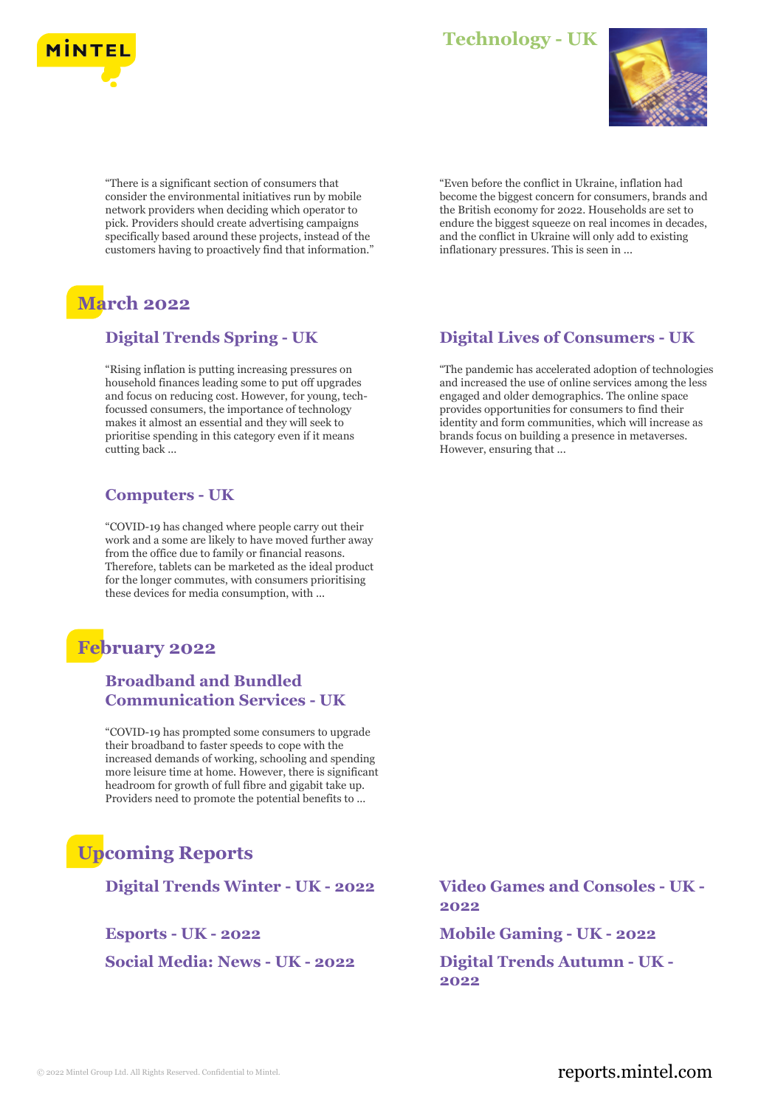

## **Technology - UK**



"There is a significant section of consumers that consider the environmental initiatives run by mobile network providers when deciding which operator to pick. Providers should create advertising campaigns specifically based around these projects, instead of the customers having to proactively find that information."

# **March 2022**

## **Digital Trends Spring - UK**

"Rising inflation is putting increasing pressures on household finances leading some to put off upgrades and focus on reducing cost. However, for young, techfocussed consumers, the importance of technology makes it almost an essential and they will seek to prioritise spending in this category even if it means cutting back ...

## **Computers - UK**

"COVID-19 has changed where people carry out their work and a some are likely to have moved further away from the office due to family or financial reasons. Therefore, tablets can be marketed as the ideal product for the longer commutes, with consumers prioritising these devices for media consumption, with ...

## **February 2022**

## **Broadband and Bundled Communication Services - UK**

"COVID-19 has prompted some consumers to upgrade their broadband to faster speeds to cope with the increased demands of working, schooling and spending more leisure time at home. However, there is significant headroom for growth of full fibre and gigabit take up. Providers need to promote the potential benefits to ...

# **Upcoming Reports**

**Social Media: News - UK - 2022 Digital Trends Autumn - UK -**

"Even before the conflict in Ukraine, inflation had become the biggest concern for consumers, brands and the British economy for 2022. Households are set to endure the biggest squeeze on real incomes in decades, and the conflict in Ukraine will only add to existing inflationary pressures. This is seen in ...

## **Digital Lives of Consumers - UK**

"The pandemic has accelerated adoption of technologies and increased the use of online services among the less engaged and older demographics. The online space provides opportunities for consumers to find their identity and form communities, which will increase as brands focus on building a presence in metaverses. However, ensuring that ...

**Digital Trends Winter - UK - 2022 Video Games and Consoles - UK - 2022**

**Esports - UK - 2022 Mobile Gaming - UK - 2022**

**2022**